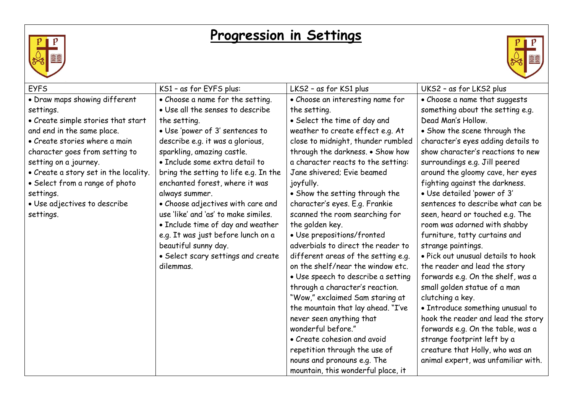

## **Progression in Settings**



| <b>EYFS</b>                           | KS1 - as for EYFS plus:               | LKS2 - as for KS1 plus              | UKS2 - as for LKS2 plus             |
|---------------------------------------|---------------------------------------|-------------------------------------|-------------------------------------|
| • Draw maps showing different         | • Choose a name for the setting.      | • Choose an interesting name for    | • Choose a name that suggests       |
| settings.                             | . Use all the senses to describe      | the setting.                        | something about the setting e.g.    |
| • Create simple stories that start    | the setting.                          | • Select the time of day and        | Dead Man's Hollow.                  |
| and end in the same place.            | • Use 'power of 3' sentences to       | weather to create effect e.g. At    | • Show the scene through the        |
| • Create stories where a main         | describe e.g. it was a glorious,      | close to midnight, thunder rumbled  | character's eyes adding details to  |
| character goes from setting to        | sparkling, amazing castle.            | through the darkness. . Show how    | show character's reactions to new   |
| setting on a journey.                 | · Include some extra detail to        | a character reacts to the setting:  | surroundings e.g. Jill peered       |
| . Create a story set in the locality. | bring the setting to life e.g. In the | Jane shivered; Evie beamed          | around the gloomy cave, her eyes    |
| • Select from a range of photo        | enchanted forest, where it was        | joyfully.                           | fighting against the darkness.      |
| settings.                             | always summer.                        | • Show the setting through the      | · Use detailed 'power of 3'         |
| • Use adjectives to describe          | • Choose adjectives with care and     | character's eyes. E.g. Frankie      | sentences to describe what can be   |
| settings.                             | use 'like' and 'as' to make similes.  | scanned the room searching for      | seen, heard or touched e.g. The     |
|                                       | • Include time of day and weather     | the golden key.                     | room was adorned with shabby        |
|                                       | e.g. It was just before lunch on a    | · Use prepositions/fronted          | furniture, tatty curtains and       |
|                                       | beautiful sunny day.                  | adverbials to direct the reader to  | strange paintings.                  |
|                                       | • Select scary settings and create    | different areas of the setting e.g. | . Pick out unusual details to hook  |
|                                       | dilemmas.                             | on the shelf/near the window etc.   | the reader and lead the story       |
|                                       |                                       | · Use speech to describe a setting  | forwards e.g. On the shelf, was a   |
|                                       |                                       | through a character's reaction.     | small golden statue of a man        |
|                                       |                                       | "Wow," exclaimed Sam staring at     | clutching a key.                    |
|                                       |                                       | the mountain that lay ahead. "I've  | • Introduce something unusual to    |
|                                       |                                       | never seen anything that            | hook the reader and lead the story  |
|                                       |                                       | wonderful before."                  | forwards e.g. On the table, was a   |
|                                       |                                       | • Create cohesion and avoid         | strange footprint left by a         |
|                                       |                                       | repetition through the use of       | creature that Holly, who was an     |
|                                       |                                       | nouns and pronouns e.g. The         | animal expert, was unfamiliar with. |
|                                       |                                       | mountain, this wonderful place, it  |                                     |